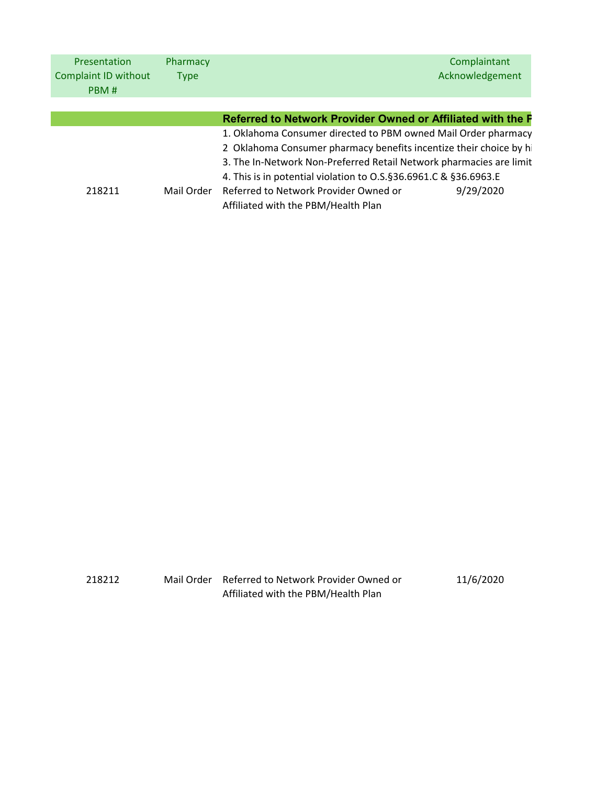| <b>Presentation</b>  | Pharmacy    |                                                                       | Complaintant    |
|----------------------|-------------|-----------------------------------------------------------------------|-----------------|
| Complaint ID without | <b>Type</b> |                                                                       | Acknowledgement |
| PBM#                 |             |                                                                       |                 |
|                      |             |                                                                       |                 |
|                      |             | Referred to Network Provider Owned or Affiliated with the P           |                 |
|                      |             | 1. Oklahoma Consumer directed to PBM owned Mail Order pharmacy        |                 |
|                      |             | 2 Oklahoma Consumer pharmacy benefits incentize their choice by hi    |                 |
|                      |             | 3. The In-Network Non-Preferred Retail Network pharmacies are limit   |                 |
|                      |             | 4. This is in potential violation to 0.5. § 36.6961. C & § 36.6963. E |                 |
| 218211               | Mail Order  | Referred to Network Provider Owned or                                 | 9/29/2020       |
|                      |             | Affiliated with the PBM/Health Plan                                   |                 |

| 218212 | Mail Order Referred to Network Provider Owned or | 11/6/2020 |
|--------|--------------------------------------------------|-----------|
|        | Affiliated with the PBM/Health Plan              |           |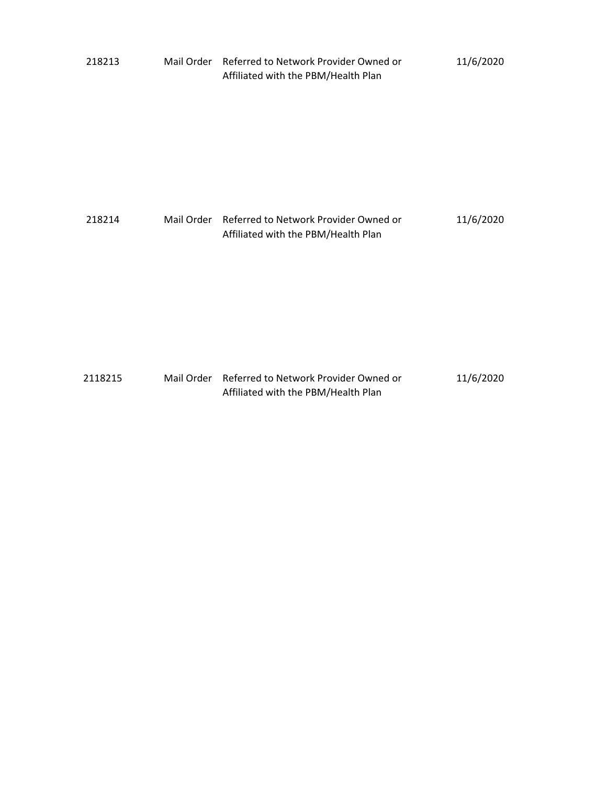| 218213  | Mail Order Referred to Network Provider Owned or<br>Affiliated with the PBM/Health Plan | 11/6/2020 |
|---------|-----------------------------------------------------------------------------------------|-----------|
| 218214  | Mail Order Referred to Network Provider Owned or<br>Affiliated with the PBM/Health Plan | 11/6/2020 |
| 2118215 | Mail Order Referred to Network Provider Owned or<br>Affiliated with the PBM/Health Plan | 11/6/2020 |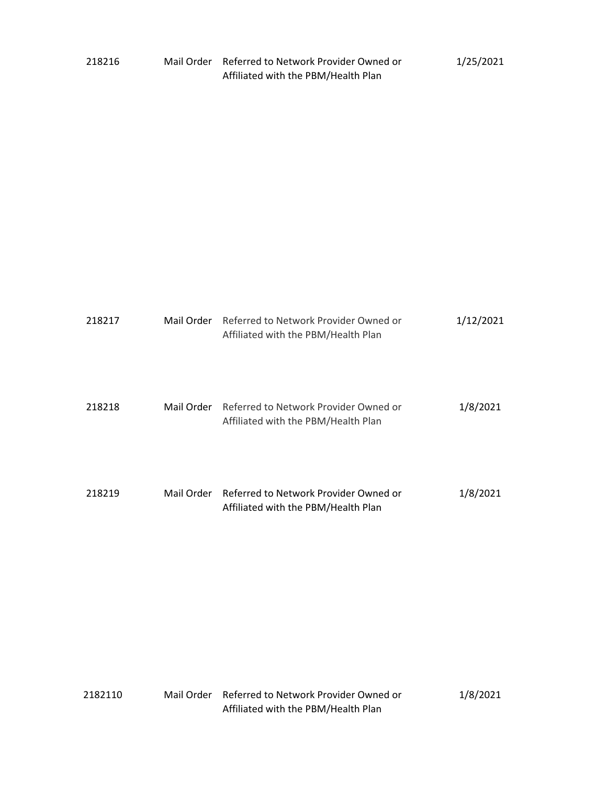| 218216 | Mail Order Referred to Network Provider Owned or | 1/25/2021 |
|--------|--------------------------------------------------|-----------|
|        | Affiliated with the PBM/Health Plan              |           |

| 218217 | Mail Order | Referred to Network Provider Owned or<br>Affiliated with the PBM/Health Plan | 1/12/2021 |
|--------|------------|------------------------------------------------------------------------------|-----------|
| 218218 | Mail Order | Referred to Network Provider Owned or<br>Affiliated with the PBM/Health Plan | 1/8/2021  |
| 218219 | Mail Order | Referred to Network Provider Owned or<br>Affiliated with the PBM/Health Plan | 1/8/2021  |

| 2182110 | Mail Order Referred to Network Provider Owned or | 1/8/2021 |
|---------|--------------------------------------------------|----------|
|         | Affiliated with the PBM/Health Plan              |          |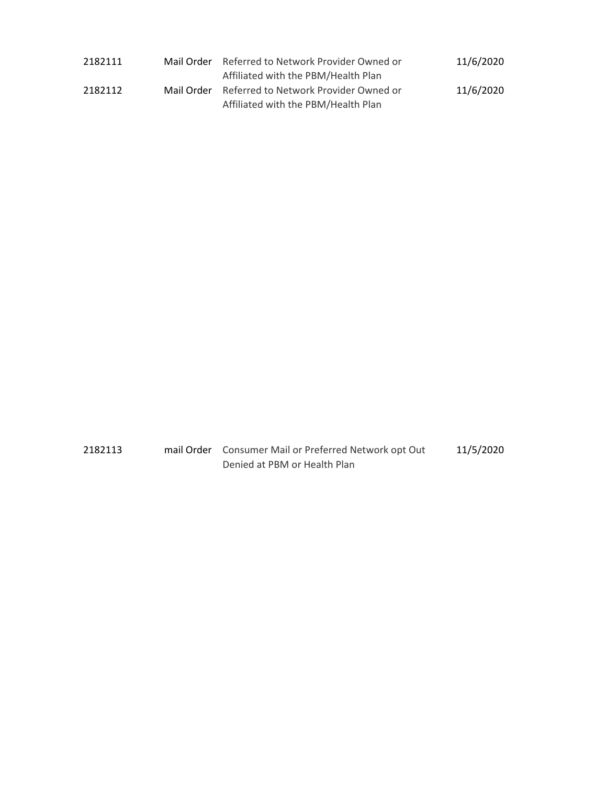| 2182111 | Mail Order | Referred to Network Provider Owned or | 11/6/2020 |  |
|---------|------------|---------------------------------------|-----------|--|
|         |            | Affiliated with the PBM/Health Plan   |           |  |
| 2182112 | Mail Order | Referred to Network Provider Owned or | 11/6/2020 |  |
|         |            | Affiliated with the PBM/Health Plan   |           |  |

2182113 mail Order Consumer Mail or Preferred Network opt Out Denied at PBM or Health Plan 11/5/2020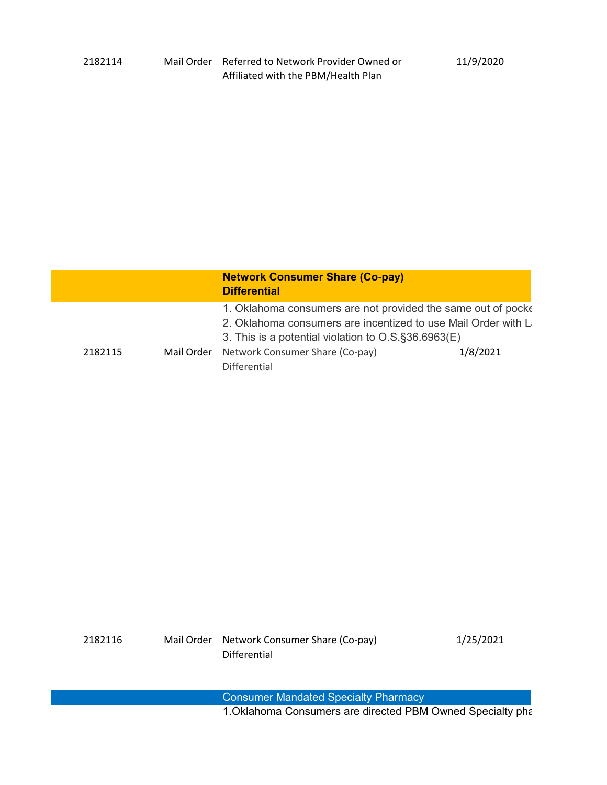|         | <b>Network Consumer Share (Co-pay)</b><br><b>Differential</b>                                                                                                                           |          |
|---------|-----------------------------------------------------------------------------------------------------------------------------------------------------------------------------------------|----------|
|         | 1. Oklahoma consumers are not provided the same out of pocke<br>2. Oklahoma consumers are incentized to use Mail Order with La<br>3. This is a potential violation to O.S. § 36.6963(E) |          |
| 2182115 | Mail Order Network Consumer Share (Co-pay)<br>Differential                                                                                                                              | 1/8/2021 |

| 2182116 | Mail Order Network Consumer Share (Co-pay) | 1/25/2021 |
|---------|--------------------------------------------|-----------|
|         | Differential                               |           |

Consumer Mandated Specialty Pharmacy 1.Oklahoma Consumers are directed PBM Owned Specialty pha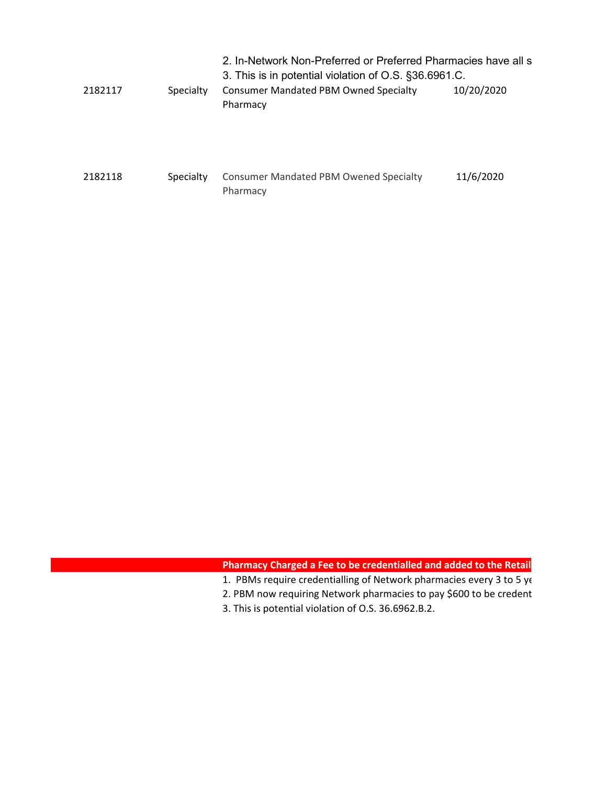|         |           | 2. In-Network Non-Preferred or Preferred Pharmacies have all s<br>3. This is in potential violation of O.S. §36.6961.C. |            |  |
|---------|-----------|-------------------------------------------------------------------------------------------------------------------------|------------|--|
| 2182117 | Specialty | <b>Consumer Mandated PBM Owned Specialty</b><br>Pharmacy                                                                | 10/20/2020 |  |
| 2182118 | Specialty | <b>Consumer Mandated PBM Owened Specialty</b><br>Pharmacy                                                               | 11/6/2020  |  |

# **Pharmacy Charged a Fee to be credentialled and added to the Retail**

- 1. PBMs require credentialling of Network pharmacies every 3 to 5 ye
- 2. PBM now requiring Network pharmacies to pay \$600 to be credent
- 3. This is potential violation of O.S. 36.6962.B.2.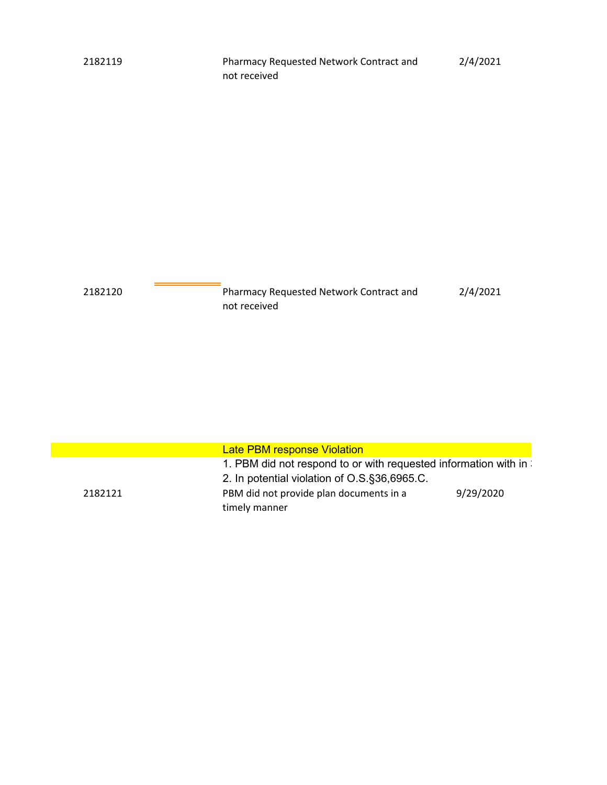| 2182120 | Pharmacy Requested Network Contract and | 2/4/2021 |
|---------|-----------------------------------------|----------|
|         | not received                            |          |

|         | <b>Late PBM response Violation</b>                                                                               |           |
|---------|------------------------------------------------------------------------------------------------------------------|-----------|
|         | 1. PBM did not respond to or with requested information with in:<br>2. In potential violation of O.S.§36,6965.C. |           |
| 2182121 | PBM did not provide plan documents in a<br>timely manner                                                         | 9/29/2020 |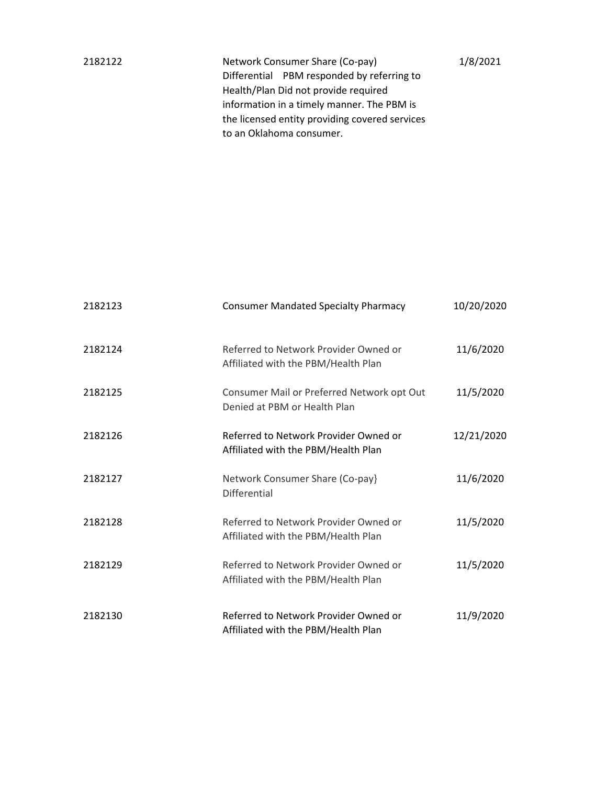| 2182122 | Network Consumer Share (Co-pay)                | 1/8/2021 |  |
|---------|------------------------------------------------|----------|--|
|         | Differential PBM responded by referring to     |          |  |
|         | Health/Plan Did not provide required           |          |  |
|         | information in a timely manner. The PBM is     |          |  |
|         | the licensed entity providing covered services |          |  |
|         | to an Oklahoma consumer.                       |          |  |
|         |                                                |          |  |

| 2182123 | <b>Consumer Mandated Specialty Pharmacy</b>                                  | 10/20/2020 |
|---------|------------------------------------------------------------------------------|------------|
| 2182124 | Referred to Network Provider Owned or<br>Affiliated with the PBM/Health Plan | 11/6/2020  |
| 2182125 | Consumer Mail or Preferred Network opt Out<br>Denied at PBM or Health Plan   | 11/5/2020  |
| 2182126 | Referred to Network Provider Owned or<br>Affiliated with the PBM/Health Plan | 12/21/2020 |
| 2182127 | Network Consumer Share (Co-pay)<br><b>Differential</b>                       | 11/6/2020  |
| 2182128 | Referred to Network Provider Owned or<br>Affiliated with the PBM/Health Plan | 11/5/2020  |
| 2182129 | Referred to Network Provider Owned or<br>Affiliated with the PBM/Health Plan | 11/5/2020  |
| 2182130 | Referred to Network Provider Owned or<br>Affiliated with the PBM/Health Plan | 11/9/2020  |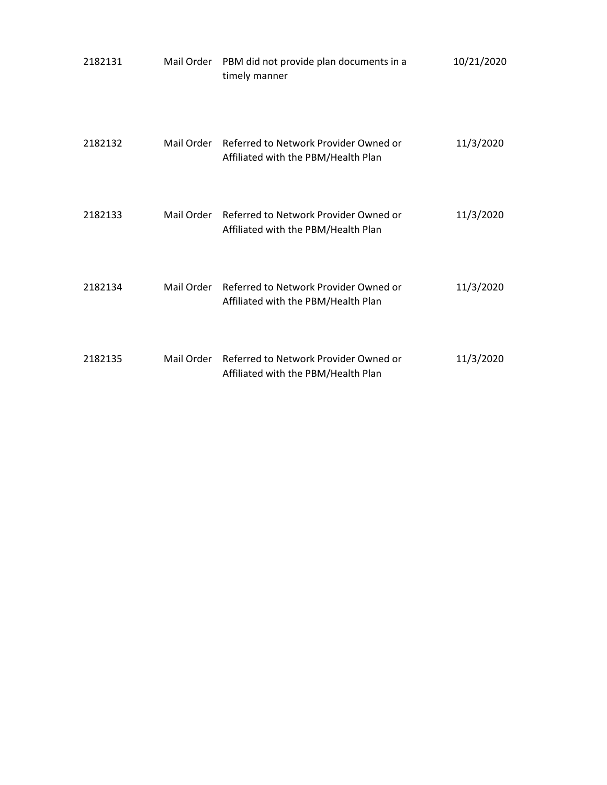| 2182131 | Mail Order | PBM did not provide plan documents in a<br>timely manner                                | 10/21/2020 |
|---------|------------|-----------------------------------------------------------------------------------------|------------|
| 2182132 | Mail Order | Referred to Network Provider Owned or<br>Affiliated with the PBM/Health Plan            | 11/3/2020  |
| 2182133 |            | Mail Order Referred to Network Provider Owned or<br>Affiliated with the PBM/Health Plan | 11/3/2020  |
| 2182134 | Mail Order | Referred to Network Provider Owned or<br>Affiliated with the PBM/Health Plan            | 11/3/2020  |
| 2182135 | Mail Order | Referred to Network Provider Owned or<br>Affiliated with the PBM/Health Plan            | 11/3/2020  |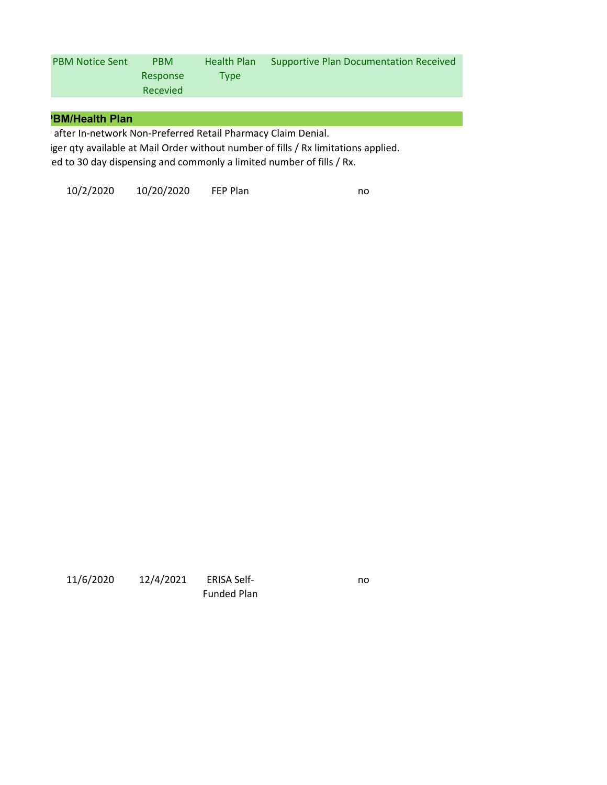| <b>PBM Notice Sent</b> | <b>PBM</b> | Health Plan | Supportive Plan Documentation Received |
|------------------------|------------|-------------|----------------------------------------|
|                        | Response   | Tvpe        |                                        |
|                        | Recevied   |             |                                        |

#### **PBM/Health Plan**

y after In-network Non-Preferred Retail Pharmacy Claim Denial.

 iger qty available at Mail Order without number of fills / Rx limitations applied. ted to 30 day dispensing and commonly a limited number of fills / Rx.

10/2/2020 10/20/2020 FEP Plan no

| 11/6/2020 | 12/4/2021 | <b>ERISA Self-</b> |
|-----------|-----------|--------------------|
|           |           | <b>Funded Plan</b> |

no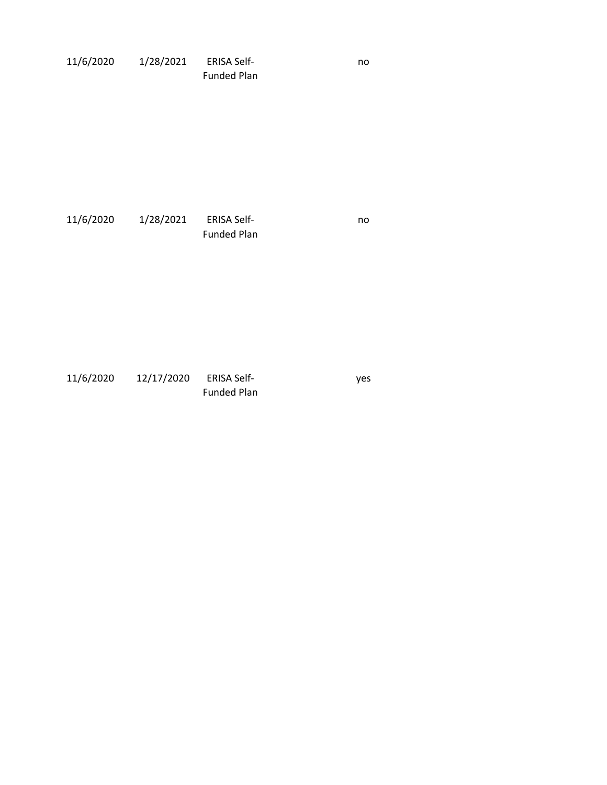| 11/6/2020 | 1/28/2021 | <b>ERISA Self-</b> | no |
|-----------|-----------|--------------------|----|
|           |           | <b>Funded Plan</b> |    |

11/6/2020 1/28/2021 ERISA Self-Funded Plan no

| 11/6/2020 | 12/17/2020 | ERISA Self-        | <b>ves</b> |
|-----------|------------|--------------------|------------|
|           |            | <b>Funded Plan</b> |            |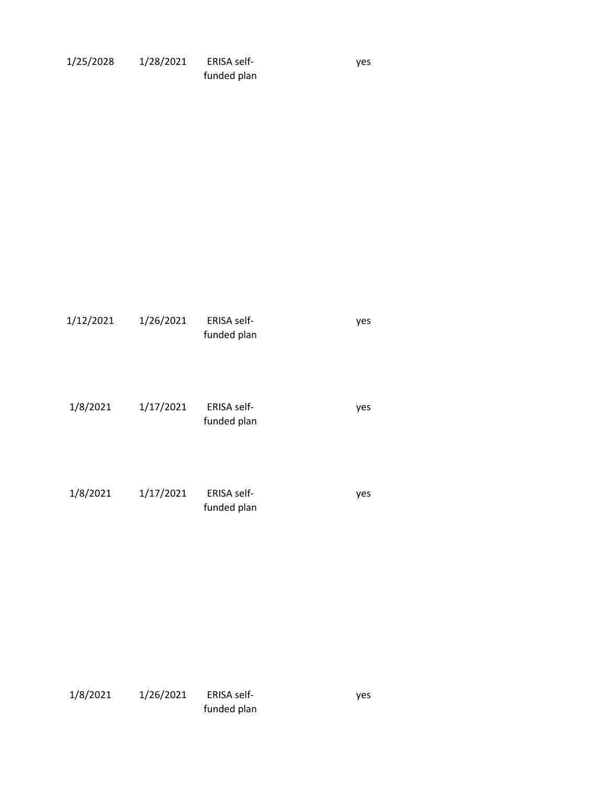| 1/25/2028 | 1/28/2021 | <b>ERISA self-</b> |
|-----------|-----------|--------------------|
|           |           | funded plan        |

yes

| 1/12/2021 | 1/26/2021 | <b>ERISA self-</b><br>funded plan | yes |
|-----------|-----------|-----------------------------------|-----|
| 1/8/2021  | 1/17/2021 | <b>ERISA self-</b><br>funded plan | yes |
| 1/8/2021  | 1/17/2021 | ERISA self-<br>funded plan        | yes |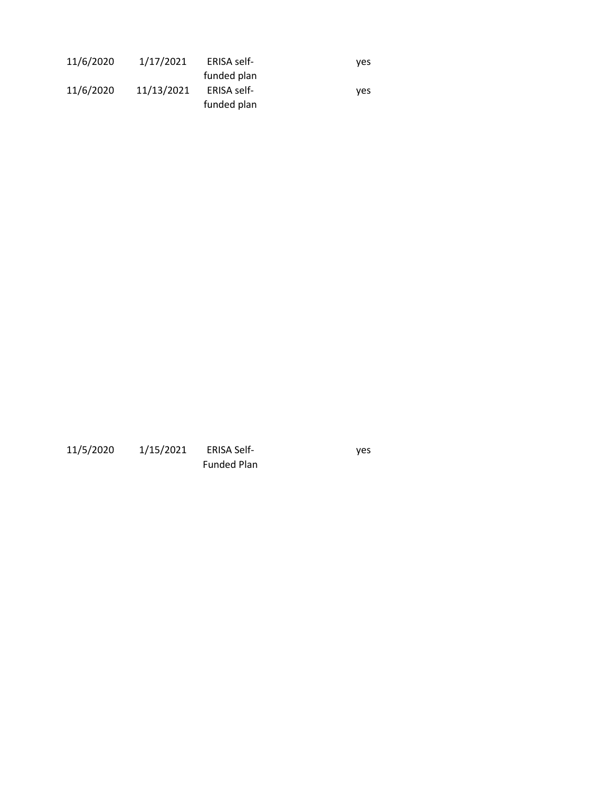| 11/6/2020 | 1/17/2021  | ERISA self- | ves |
|-----------|------------|-------------|-----|
|           |            | funded plan |     |
| 11/6/2020 | 11/13/2021 | ERISA self- | ves |
|           |            | funded plan |     |

11/5/2020 1/15/2021 ERISA Self-Funded Plan

yes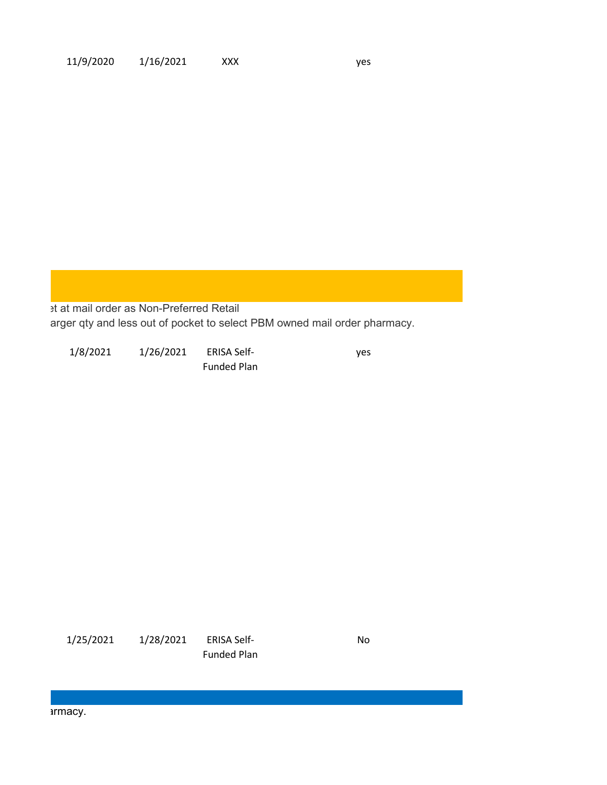et at mail order as Non-Preferred Retail arger qty and less out of pocket to select PBM owned mail order pharmacy.

1/8/2021 1/26/2021 ERISA Self-Funded Plan

yes

1/25/2021 1/28/2021 ERISA Self-Funded Plan No

armacy.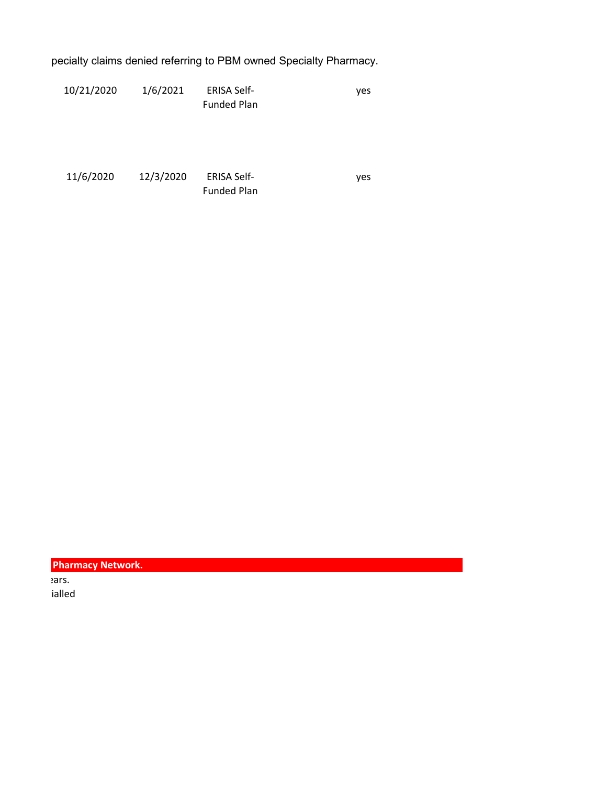specialty claims denied referring to PBM owned Specialty Pharmacy.

| 10/21/2020 | 1/6/2021 | <b>ERISA Self-</b> | ves |
|------------|----------|--------------------|-----|
|            |          | <b>Funded Plan</b> |     |

| 11/6/2020 | 12/3/2020 | <b>ERISA Self-</b> | ves |
|-----------|-----------|--------------------|-----|
|           |           | <b>Funded Plan</b> |     |

| <b>Pharmacy Network.</b> |
|--------------------------|
| ears.                    |
| ialled                   |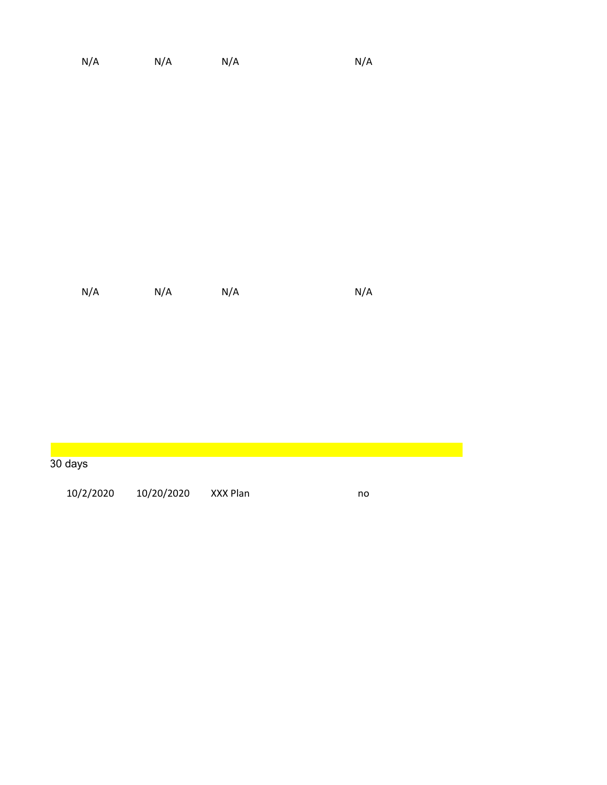| N/A | N/A | N/A | N/A |
|-----|-----|-----|-----|

| 30 days   |            |          |    |
|-----------|------------|----------|----|
| 10/2/2020 | 10/20/2020 | XXX Plan | no |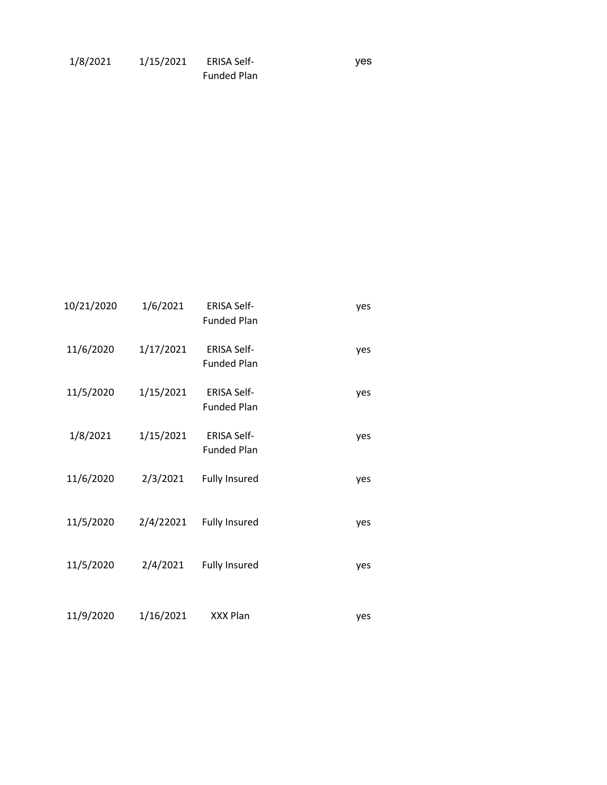| 1/8/2021 | 1/15/2021 | <b>ERISA Self-</b> |
|----------|-----------|--------------------|
|          |           | <b>Funded Plan</b> |

yes

| 10/21/2020 | 1/6/2021  | <b>ERISA Self-</b><br><b>Funded Plan</b> | yes |
|------------|-----------|------------------------------------------|-----|
| 11/6/2020  | 1/17/2021 | <b>ERISA Self-</b><br><b>Funded Plan</b> | yes |
| 11/5/2020  | 1/15/2021 | <b>ERISA Self-</b><br><b>Funded Plan</b> | yes |
| 1/8/2021   | 1/15/2021 | <b>ERISA Self-</b><br><b>Funded Plan</b> | yes |
| 11/6/2020  | 2/3/2021  | <b>Fully Insured</b>                     | yes |
| 11/5/2020  | 2/4/22021 | <b>Fully Insured</b>                     | yes |
| 11/5/2020  | 2/4/2021  | <b>Fully Insured</b>                     | yes |
| 11/9/2020  | 1/16/2021 | XXX Plan                                 | yes |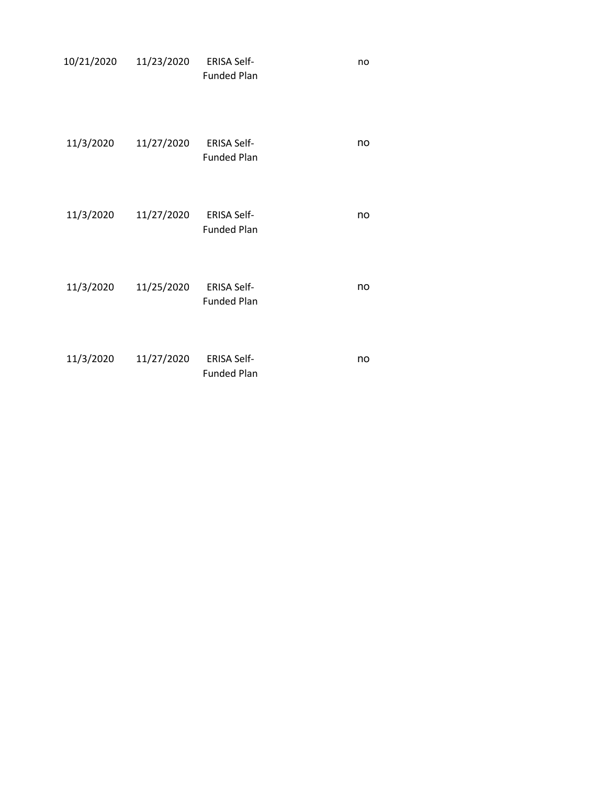| 10/21/2020 | 11/23/2020 | <b>ERISA Self-</b><br><b>Funded Plan</b> | no |
|------------|------------|------------------------------------------|----|
| 11/3/2020  | 11/27/2020 | <b>ERISA Self-</b><br><b>Funded Plan</b> | no |
| 11/3/2020  | 11/27/2020 | <b>ERISA Self-</b><br><b>Funded Plan</b> | no |
| 11/3/2020  | 11/25/2020 | <b>ERISA Self-</b><br><b>Funded Plan</b> | no |
| 11/3/2020  | 11/27/2020 | <b>ERISA Self-</b><br><b>Funded Plan</b> | no |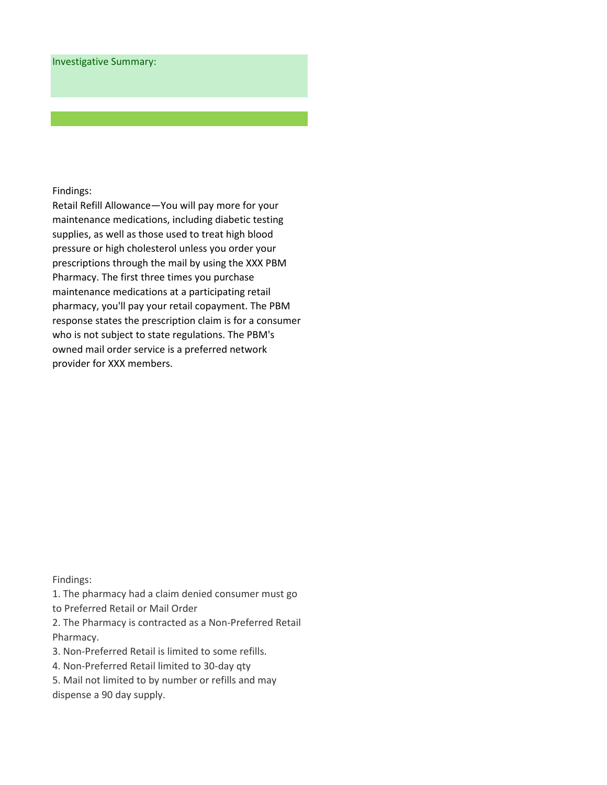Retail Refill Allowance—You will pay more for your maintenance medications, including diabetic testing supplies, as well as those used to treat high blood pressure or high cholesterol unless you order your prescriptions through the mail by using the XXX PBM Pharmacy. The first three times you purchase maintenance medications at a participating retail pharmacy, you'll pay your retail copayment. The PBM response states the prescription claim is for a consumer who is not subject to state regulations. The PBM's owned mail order service is a preferred network provider for XXX members.

Findings:

1. The pharmacy had a claim denied consumer must go to Preferred Retail or Mail Order

2. The Pharmacy is contracted as a Non-Preferred Retail Pharmacy.

3. Non-Preferred Retail is limited to some refills.

4. Non-Preferred Retail limited to 30-day qty

5. Mail not limited to by number or refills and may dispense a 90 day supply.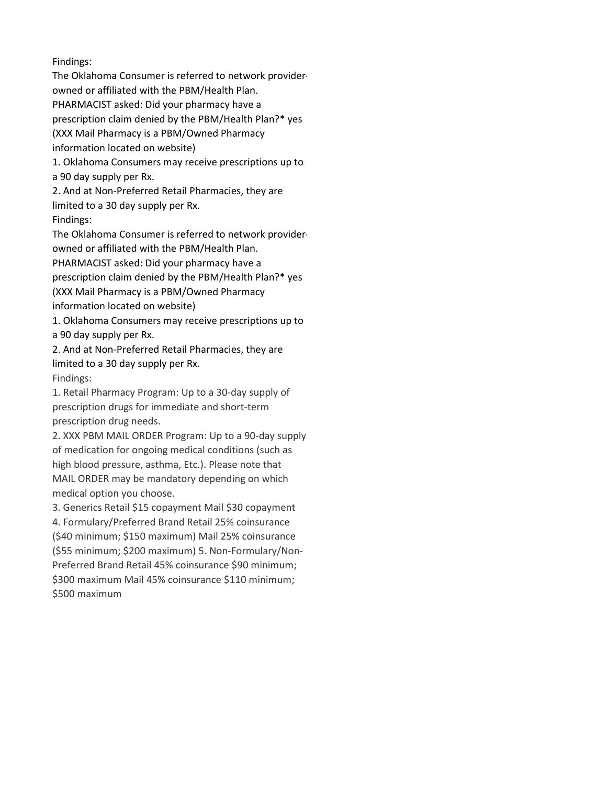The Oklahoma Consumer is referred to network providerowned or affiliated with the PBM/Health Plan. PHARMACIST asked: Did your pharmacy have a prescription claim denied by the PBM/Health Plan?\* yes (XXX Mail Pharmacy is a PBM/Owned Pharmacy information located on website)

1. Oklahoma Consumers may receive prescriptions up to

a 90 day supply per Rx.

2. And at Non-Preferred Retail Pharmacies, they are limited to a 30 day supply per Rx. Findings:

The Oklahoma Consumer is referred to network providerowned or affiliated with the PBM/Health Plan. PHARMACIST asked: Did your pharmacy have a prescription claim denied by the PBM/Health Plan?\* yes (XXX Mail Pharmacy is a PBM/Owned Pharmacy information located on website)

1. Oklahoma Consumers may receive prescriptions up to a 90 day supply per Rx.

2. And at Non-Preferred Retail Pharmacies, they are limited to a 30 day supply per Rx. Findings:

1. Retail Pharmacy Program: Up to a 30-day supply of prescription drugs for immediate and short-term prescription drug needs.

2. XXX PBM MAIL ORDER Program: Up to a 90-day supply of medication for ongoing medical conditions (such as high blood pressure, asthma, Etc.). Please note that MAIL ORDER may be mandatory depending on which medical option you choose.

3. Generics Retail \$15 copayment Mail \$30 copayment 4. Formulary/Preferred Brand Retail 25% coinsurance (\$40 minimum; \$150 maximum) Mail 25% coinsurance (\$55 minimum; \$200 maximum) 5. Non-Formulary/Non-Preferred Brand Retail 45% coinsurance \$90 minimum; \$300 maximum Mail 45% coinsurance \$110 minimum; \$500 maximum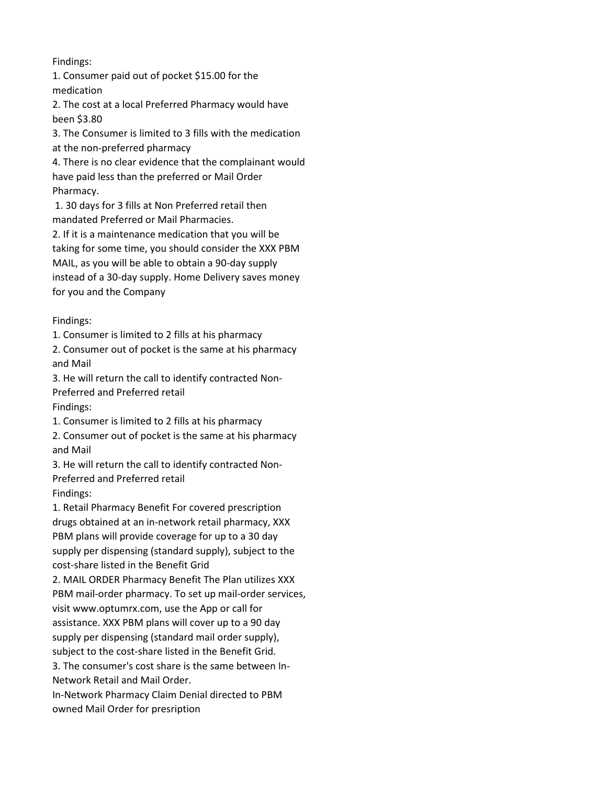1. Consumer paid out of pocket \$15.00 for the medication

2. The cost at a local Preferred Pharmacy would have been \$3.80

3. The Consumer is limited to 3 fills with the medication

at the non-preferred pharmacy

4. There is no clear evidence that the complainant would have paid less than the preferred or Mail Order Pharmacy.

 1. 30 days for 3 fills at Non Preferred retail then mandated Preferred or Mail Pharmacies.

2. If it is a maintenance medication that you will be taking for some time, you should consider the XXX PBM MAIL, as you will be able to obtain a 90-day supply instead of a 30-day supply. Home Delivery saves money for you and the Company

Findings:

1. Consumer is limited to 2 fills at his pharmacy

2. Consumer out of pocket is the same at his pharmacy and Mail

3. He will return the call to identify contracted Non-Preferred and Preferred retail Findings:

1. Consumer is limited to 2 fills at his pharmacy

2. Consumer out of pocket is the same at his pharmacy and Mail

3. He will return the call to identify contracted Non-Preferred and Preferred retail Findings:

1. Retail Pharmacy Benefit For covered prescription drugs obtained at an in-network retail pharmacy, XXX PBM plans will provide coverage for up to a 30 day supply per dispensing (standard supply), subject to the cost-share listed in the Benefit Grid

2. MAIL ORDER Pharmacy Benefit The Plan utilizes XXX PBM mail-order pharmacy. To set up mail-order services, visit www.optumrx.com, use the App or call for assistance. XXX PBM plans will cover up to a 90 day supply per dispensing (standard mail order supply), subject to the cost-share listed in the Benefit Grid.

3. The consumer's cost share is the same between In-Network Retail and Mail Order.

In-Network Pharmacy Claim Denial directed to PBM owned Mail Order for presription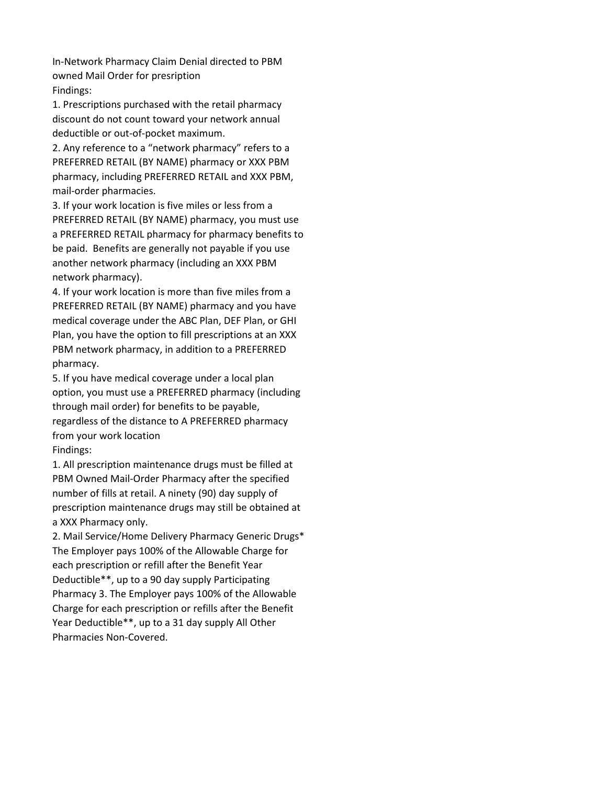In-Network Pharmacy Claim Denial directed to PBM owned Mail Order for presription Findings:

1. Prescriptions purchased with the retail pharmacy discount do not count toward your network annual deductible or out-of-pocket maximum.

2. Any reference to a "network pharmacy" refers to a PREFERRED RETAIL (BY NAME) pharmacy or XXX PBM pharmacy, including PREFERRED RETAIL and XXX PBM, mail-order pharmacies.

3. If your work location is five miles or less from a PREFERRED RETAIL (BY NAME) pharmacy, you must use a PREFERRED RETAIL pharmacy for pharmacy benefits to be paid. Benefits are generally not payable if you use another network pharmacy (including an XXX PBM network pharmacy).

4. If your work location is more than five miles from a PREFERRED RETAIL (BY NAME) pharmacy and you have medical coverage under the ABC Plan, DEF Plan, or GHI Plan, you have the option to fill prescriptions at an XXX PBM network pharmacy, in addition to a PREFERRED pharmacy.

5. If you have medical coverage under a local plan option, you must use a PREFERRED pharmacy (including through mail order) for benefits to be payable, regardless of the distance to A PREFERRED pharmacy from your work location Findings:

1. All prescription maintenance drugs must be filled at PBM Owned Mail-Order Pharmacy after the specified number of fills at retail. A ninety (90) day supply of prescription maintenance drugs may still be obtained at a XXX Pharmacy only.

2. Mail Service/Home Delivery Pharmacy Generic Drugs\* The Employer pays 100% of the Allowable Charge for each prescription or refill after the Benefit Year Deductible\*\*, up to a 90 day supply Participating Pharmacy 3. The Employer pays 100% of the Allowable Charge for each prescription or refills after the Benefit Year Deductible\*\*, up to a 31 day supply All Other Pharmacies Non-Covered.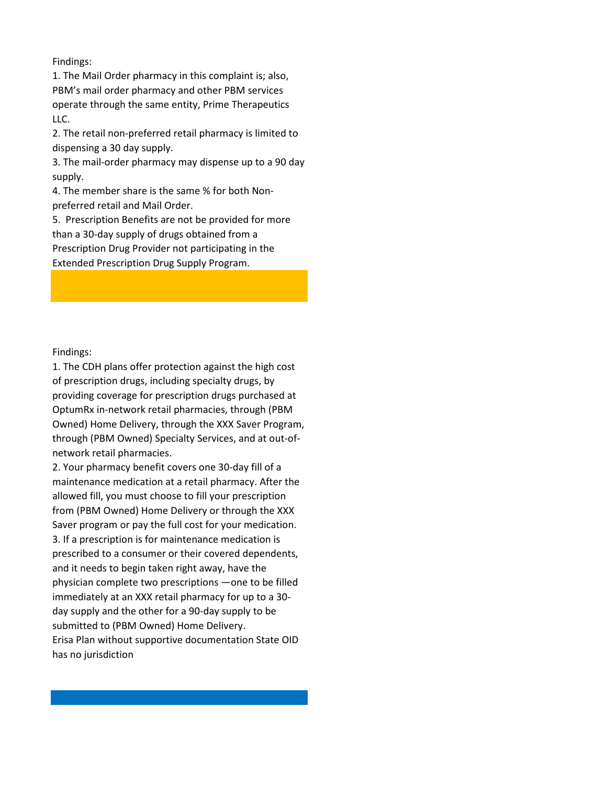1. The Mail Order pharmacy in this complaint is; also, PBM's mail order pharmacy and other PBM services operate through the same entity, Prime Therapeutics LLC.

2. The retail non-preferred retail pharmacy is limited to dispensing a 30 day supply.

3. The mail-order pharmacy may dispense up to a 90 day supply.

4. The member share is the same % for both Nonpreferred retail and Mail Order.

5. Prescription Benefits are not be provided for more than a 30-day supply of drugs obtained from a Prescription Drug Provider not participating in the Extended Prescription Drug Supply Program.

Findings:

1. The CDH plans offer protection against the high cost of prescription drugs, including specialty drugs, by providing coverage for prescription drugs purchased at OptumRx in-network retail pharmacies, through (PBM Owned) Home Delivery, through the XXX Saver Program, through (PBM Owned) Specialty Services, and at out-ofnetwork retail pharmacies.

2. Your pharmacy benefit covers one 30-day fill of a maintenance medication at a retail pharmacy. After the allowed fill, you must choose to fill your prescription from (PBM Owned) Home Delivery or through the XXX Saver program or pay the full cost for your medication. 3. If a prescription is for maintenance medication is prescribed to a consumer or their covered dependents, and it needs to begin taken right away, have the physician complete two prescriptions —one to be filled immediately at an XXX retail pharmacy for up to a 30 day supply and the other for a 90-day supply to be submitted to (PBM Owned) Home Delivery. Erisa Plan without supportive documentation State OID has no jurisdiction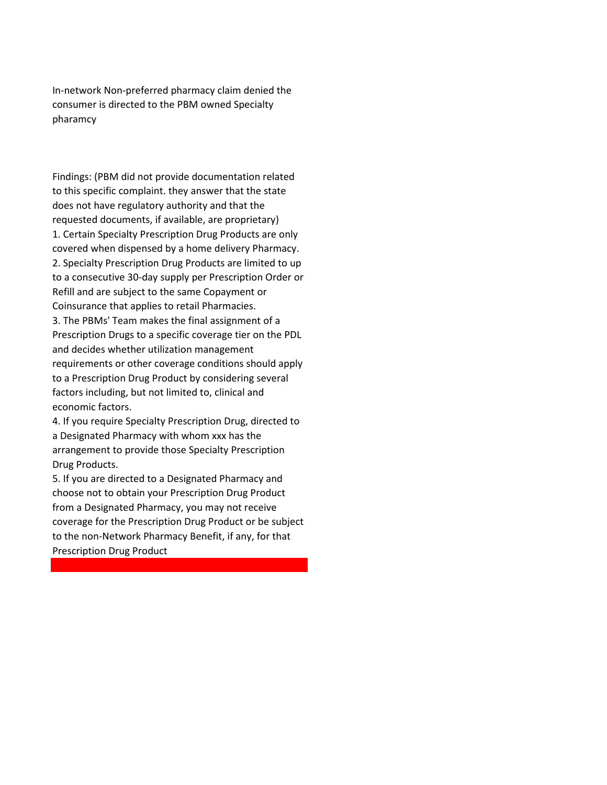In-network Non-preferred pharmacy claim denied the consumer is directed to the PBM owned Specialty pharamcy

Findings: (PBM did not provide documentation related to this specific complaint. they answer that the state does not have regulatory authority and that the requested documents, if available, are proprietary) 1. Certain Specialty Prescription Drug Products are only covered when dispensed by a home delivery Pharmacy. 2. Specialty Prescription Drug Products are limited to up to a consecutive 30-day supply per Prescription Order or Refill and are subject to the same Copayment or Coinsurance that applies to retail Pharmacies. 3. The PBMs' Team makes the final assignment of a Prescription Drugs to a specific coverage tier on the PDL and decides whether utilization management requirements or other coverage conditions should apply to a Prescription Drug Product by considering several factors including, but not limited to, clinical and economic factors.

4. If you require Specialty Prescription Drug, directed to a Designated Pharmacy with whom xxx has the arrangement to provide those Specialty Prescription Drug Products.

5. If you are directed to a Designated Pharmacy and choose not to obtain your Prescription Drug Product from a Designated Pharmacy, you may not receive coverage for the Prescription Drug Product or be subject to the non-Network Pharmacy Benefit, if any, for that Prescription Drug Product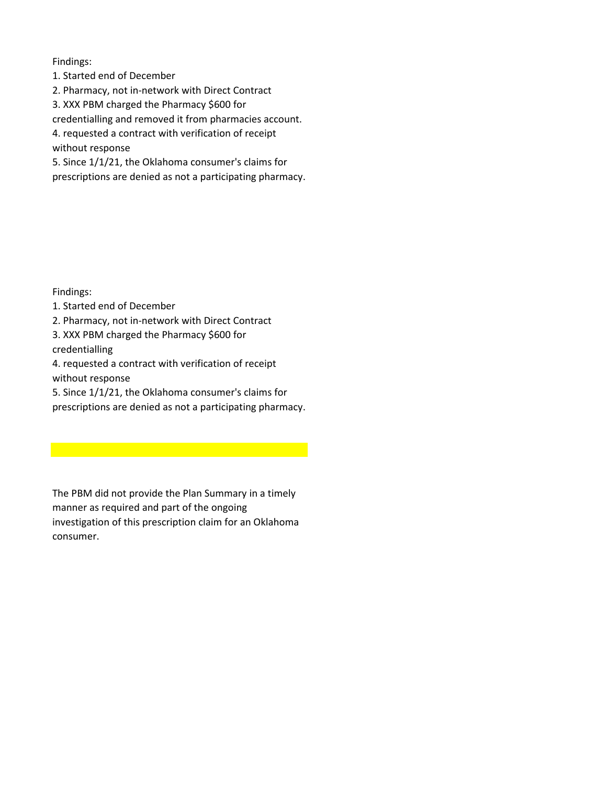- 1. Started end of December
- 2. Pharmacy, not in-network with Direct Contract
- 3. XXX PBM charged the Pharmacy \$600 for

credentialling and removed it from pharmacies account.

4. requested a contract with verification of receipt

without response

5. Since 1/1/21, the Oklahoma consumer's claims for

prescriptions are denied as not a participating pharmacy.

Findings:

1. Started end of December

2. Pharmacy, not in-network with Direct Contract

3. XXX PBM charged the Pharmacy \$600 for credentialling

4. requested a contract with verification of receipt without response

5. Since 1/1/21, the Oklahoma consumer's claims for

prescriptions are denied as not a participating pharmacy.

The PBM did not provide the Plan Summary in a timely manner as required and part of the ongoing investigation of this prescription claim for an Oklahoma consumer.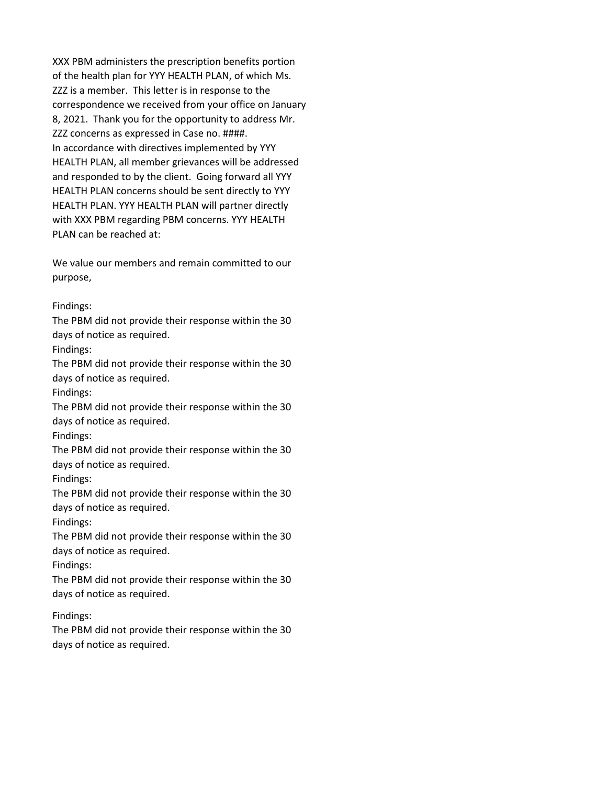XXX PBM administers the prescription benefits portion of the health plan for YYY HEALTH PLAN, of which Ms. ZZZ is a member. This letter is in response to the correspondence we received from your office on January 8, 2021. Thank you for the opportunity to address Mr. ZZZ concerns as expressed in Case no. ####. In accordance with directives implemented by YYY HEALTH PLAN, all member grievances will be addressed and responded to by the client. Going forward all YYY HEALTH PLAN concerns should be sent directly to YYY HEALTH PLAN. YYY HEALTH PLAN will partner directly with XXX PBM regarding PBM concerns. YYY HEALTH PLAN can be reached at:

We value our members and remain committed to our purpose,

#### Findings:

The PBM did not provide their response within the 30 days of notice as required.

Findings:

The PBM did not provide their response within the 30 days of notice as required.

Findings:

The PBM did not provide their response within the 30 days of notice as required.

Findings:

The PBM did not provide their response within the 30 days of notice as required.

Findings:

The PBM did not provide their response within the 30 days of notice as required.

Findings:

The PBM did not provide their response within the 30 days of notice as required.

Findings:

The PBM did not provide their response within the 30 days of notice as required.

Findings:

The PBM did not provide their response within the 30 days of notice as required.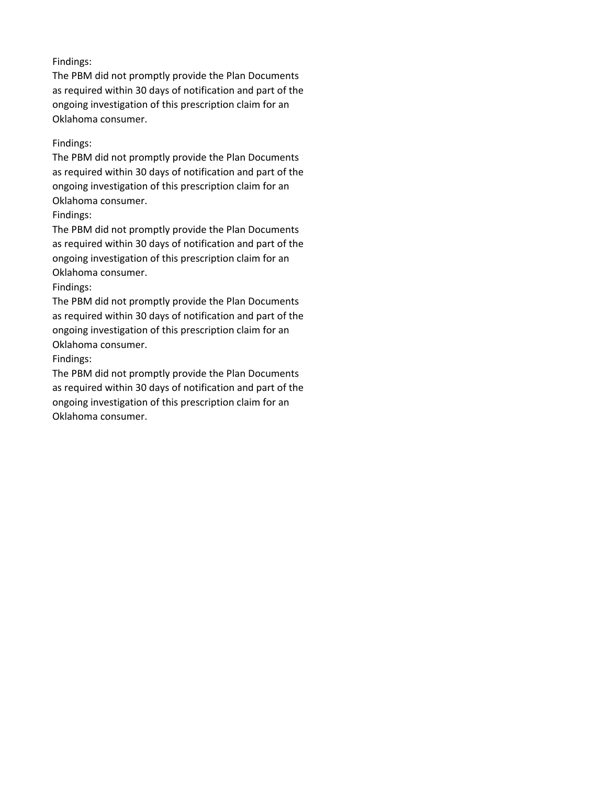The PBM did not promptly provide the Plan Documents as required within 30 days of notification and part of the ongoing investigation of this prescription claim for an Oklahoma consumer.

# Findings:

The PBM did not promptly provide the Plan Documents as required within 30 days of notification and part of the ongoing investigation of this prescription claim for an Oklahoma consumer.

## Findings:

The PBM did not promptly provide the Plan Documents as required within 30 days of notification and part of the ongoing investigation of this prescription claim for an Oklahoma consumer.

## Findings:

The PBM did not promptly provide the Plan Documents as required within 30 days of notification and part of the ongoing investigation of this prescription claim for an Oklahoma consumer.

## Findings:

The PBM did not promptly provide the Plan Documents as required within 30 days of notification and part of the ongoing investigation of this prescription claim for an Oklahoma consumer.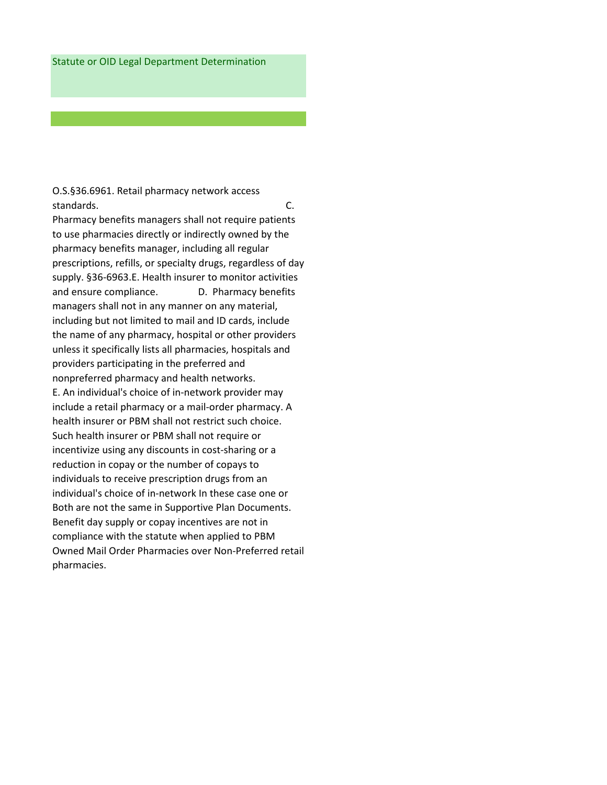O.S.§36.6961. Retail pharmacy network access standards. C. Pharmacy benefits managers shall not require patients to use pharmacies directly or indirectly owned by the pharmacy benefits manager, including all regular prescriptions, refills, or specialty drugs, regardless of day supply. §36-6963.E. Health insurer to monitor activities and ensure compliance. D. Pharmacy benefits managers shall not in any manner on any material, including but not limited to mail and ID cards, include the name of any pharmacy, hospital or other providers unless it specifically lists all pharmacies, hospitals and providers participating in the preferred and nonpreferred pharmacy and health networks. E. An individual's choice of in-network provider may include a retail pharmacy or a mail-order pharmacy. A health insurer or PBM shall not restrict such choice. Such health insurer or PBM shall not require or incentivize using any discounts in cost-sharing or a reduction in copay or the number of copays to individuals to receive prescription drugs from an individual's choice of in-network In these case one or Both are not the same in Supportive Plan Documents. Benefit day supply or copay incentives are not in compliance with the statute when applied to PBM Owned Mail Order Pharmacies over Non-Preferred retail pharmacies.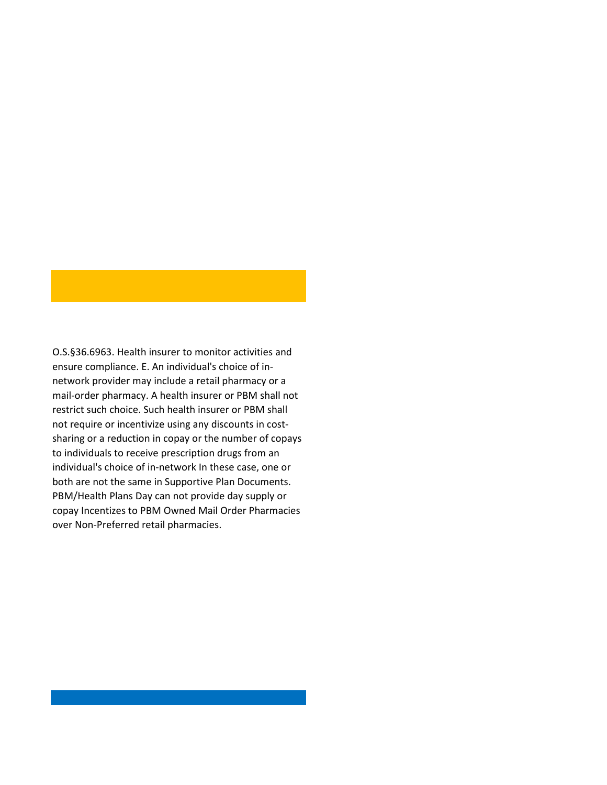O.S.§36.6963. Health insurer to monitor activities and ensure compliance. E. An individual's choice of innetwork provider may include a retail pharmacy or a mail-order pharmacy. A health insurer or PBM shall not restrict such choice. Such health insurer or PBM shall not require or incentivize using any discounts in costsharing or a reduction in copay or the number of copays to individuals to receive prescription drugs from an individual's choice of in-network In these case, one or both are not the same in Supportive Plan Documents. PBM/Health Plans Day can not provide day supply or copay Incentizes to PBM Owned Mail Order Pharmacies over Non-Preferred retail pharmacies.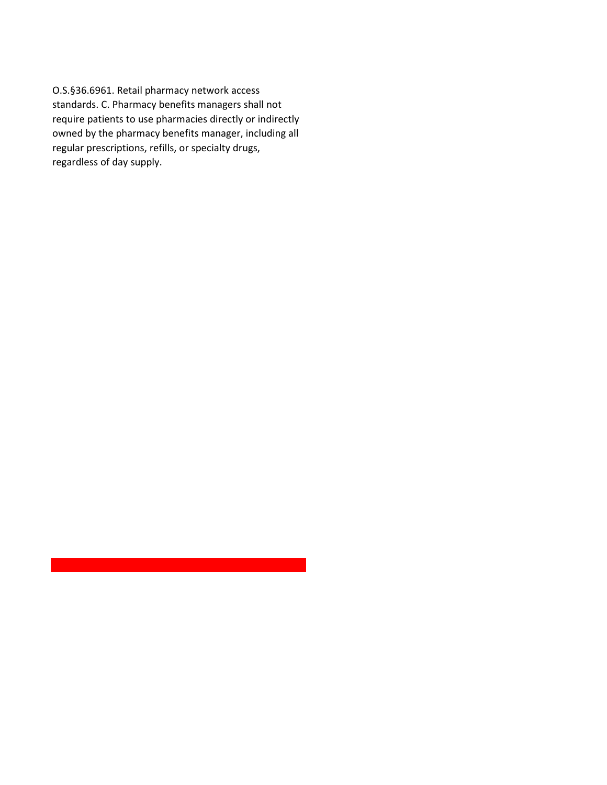O.S.§36.6961. Retail pharmacy network access standards. C. Pharmacy benefits managers shall not require patients to use pharmacies directly or indirectly owned by the pharmacy benefits manager, including all regular prescriptions, refills, or specialty drugs, regardless of day supply.